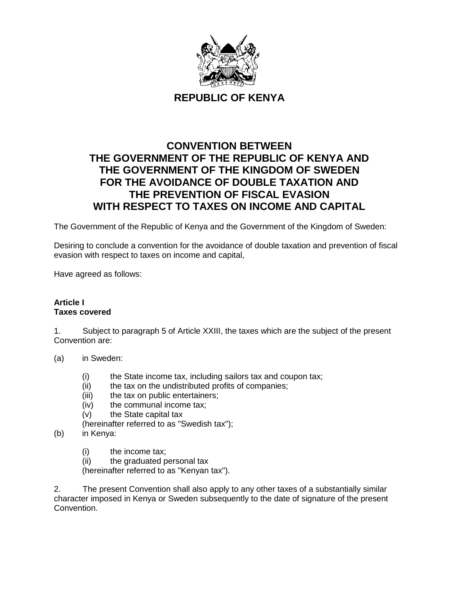

**REPUBLIC OF KENYA** 

# **CONVENTION BETWEEN THE GOVERNMENT OF THE REPUBLIC OF KENYA AND THE GOVERNMENT OF THE KINGDOM OF SWEDEN FOR THE AVOIDANCE OF DOUBLE TAXATION AND THE PREVENTION OF FISCAL EVASION WITH RESPECT TO TAXES ON INCOME AND CAPITAL**

The Government of the Republic of Kenya and the Government of the Kingdom of Sweden:

Desiring to conclude a convention for the avoidance of double taxation and prevention of fiscal evasion with respect to taxes on income and capital,

Have agreed as follows:

#### **Article I Taxes covered**

1. Subject to paragraph 5 of Article XXIII, the taxes which are the subject of the present Convention are:

- (a) in Sweden:
	- (i) the State income tax, including sailors tax and coupon tax;
	- (ii) the tax on the undistributed profits of companies;
	- (iii) the tax on public entertainers;
	- (iv) the communal income tax;
	- (v) the State capital tax

(hereinafter referred to as "Swedish tax");

- (b) in Kenya:
	- (i) the income tax;
	- (ii) the graduated personal tax

(hereinafter referred to as "Kenyan tax").

2. The present Convention shall also apply to any other taxes of a substantially similar character imposed in Kenya or Sweden subsequently to the date of signature of the present Convention.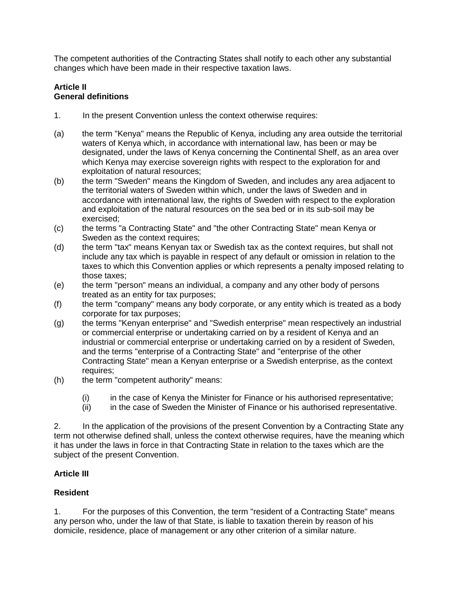The competent authorities of the Contracting States shall notify to each other any substantial changes which have been made in their respective taxation laws.

### **Article II General definitions**

- 1. In the present Convention unless the context otherwise requires:
- (a) the term "Kenya" means the Republic of Kenya, including any area outside the territorial waters of Kenya which, in accordance with international law, has been or may be designated, under the laws of Kenya concerning the Continental Shelf, as an area over which Kenya may exercise sovereign rights with respect to the exploration for and exploitation of natural resources;
- (b) the term "Sweden" means the Kingdom of Sweden, and includes any area adjacent to the territorial waters of Sweden within which, under the laws of Sweden and in accordance with international law, the rights of Sweden with respect to the exploration and exploitation of the natural resources on the sea bed or in its sub-soil may be exercised;
- (c) the terms "a Contracting State" and "the other Contracting State" mean Kenya or Sweden as the context requires;
- (d) the term "tax" means Kenyan tax or Swedish tax as the context requires, but shall not include any tax which is payable in respect of any default or omission in relation to the taxes to which this Convention applies or which represents a penalty imposed relating to those taxes;
- (e) the term "person" means an individual, a company and any other body of persons treated as an entity for tax purposes;
- (f) the term "company" means any body corporate, or any entity which is treated as a body corporate for tax purposes;
- (g) the terms "Kenyan enterprise" and "Swedish enterprise" mean respectively an industrial or commercial enterprise or undertaking carried on by a resident of Kenya and an industrial or commercial enterprise or undertaking carried on by a resident of Sweden, and the terms "enterprise of a Contracting State" and "enterprise of the other Contracting State" mean a Kenyan enterprise or a Swedish enterprise, as the context requires;
- (h) the term "competent authority" means:
	- (i) in the case of Kenya the Minister for Finance or his authorised representative;
	- (ii) in the case of Sweden the Minister of Finance or his authorised representative.

2. In the application of the provisions of the present Convention by a Contracting State any term not otherwise defined shall, unless the context otherwise requires, have the meaning which it has under the laws in force in that Contracting State in relation to the taxes which are the subject of the present Convention.

### **Article III**

#### **Resident**

1. For the purposes of this Convention, the term "resident of a Contracting State" means any person who, under the law of that State, is liable to taxation therein by reason of his domicile, residence, place of management or any other criterion of a similar nature.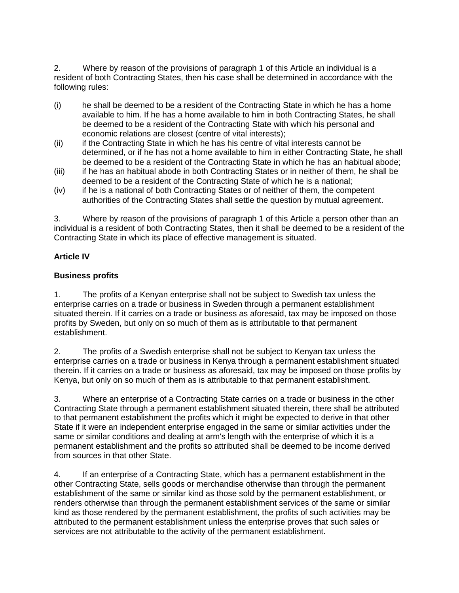2. Where by reason of the provisions of paragraph 1 of this Article an individual is a resident of both Contracting States, then his case shall be determined in accordance with the following rules:

- (i) he shall be deemed to be a resident of the Contracting State in which he has a home available to him. If he has a home available to him in both Contracting States, he shall be deemed to be a resident of the Contracting State with which his personal and economic relations are closest (centre of vital interests);
- (ii) if the Contracting State in which he has his centre of vital interests cannot be determined, or if he has not a home available to him in either Contracting State, he shall be deemed to be a resident of the Contracting State in which he has an habitual abode;
- (iii) if he has an habitual abode in both Contracting States or in neither of them, he shall be deemed to be a resident of the Contracting State of which he is a national;
- (iv) if he is a national of both Contracting States or of neither of them, the competent authorities of the Contracting States shall settle the question by mutual agreement.

3. Where by reason of the provisions of paragraph 1 of this Article a person other than an individual is a resident of both Contracting States, then it shall be deemed to be a resident of the Contracting State in which its place of effective management is situated.

### **Article IV**

#### **Business profits**

1. The profits of a Kenyan enterprise shall not be subject to Swedish tax unless the enterprise carries on a trade or business in Sweden through a permanent establishment situated therein. If it carries on a trade or business as aforesaid, tax may be imposed on those profits by Sweden, but only on so much of them as is attributable to that permanent establishment.

2. The profits of a Swedish enterprise shall not be subject to Kenyan tax unless the enterprise carries on a trade or business in Kenya through a permanent establishment situated therein. If it carries on a trade or business as aforesaid, tax may be imposed on those profits by Kenya, but only on so much of them as is attributable to that permanent establishment.

3. Where an enterprise of a Contracting State carries on a trade or business in the other Contracting State through a permanent establishment situated therein, there shall be attributed to that permanent establishment the profits which it might be expected to derive in that other State if it were an independent enterprise engaged in the same or similar activities under the same or similar conditions and dealing at arm's length with the enterprise of which it is a permanent establishment and the profits so attributed shall be deemed to be income derived from sources in that other State.

4. If an enterprise of a Contracting State, which has a permanent establishment in the other Contracting State, sells goods or merchandise otherwise than through the permanent establishment of the same or similar kind as those sold by the permanent establishment, or renders otherwise than through the permanent establishment services of the same or similar kind as those rendered by the permanent establishment, the profits of such activities may be attributed to the permanent establishment unless the enterprise proves that such sales or services are not attributable to the activity of the permanent establishment.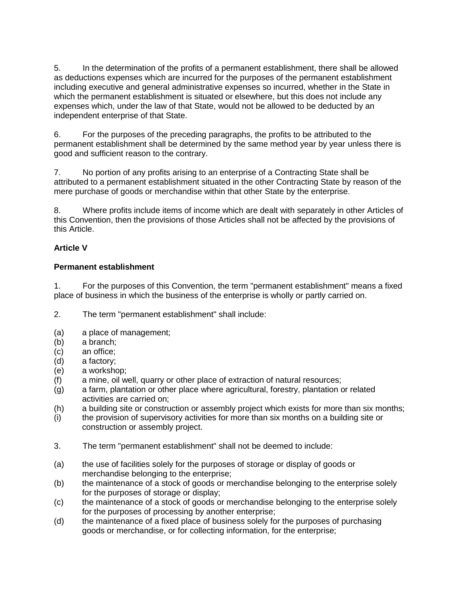5. In the determination of the profits of a permanent establishment, there shall be allowed as deductions expenses which are incurred for the purposes of the permanent establishment including executive and general administrative expenses so incurred, whether in the State in which the permanent establishment is situated or elsewhere, but this does not include any expenses which, under the law of that State, would not be allowed to be deducted by an independent enterprise of that State.

6. For the purposes of the preceding paragraphs, the profits to be attributed to the permanent establishment shall be determined by the same method year by year unless there is good and sufficient reason to the contrary.

7. No portion of any profits arising to an enterprise of a Contracting State shall be attributed to a permanent establishment situated in the other Contracting State by reason of the mere purchase of goods or merchandise within that other State by the enterprise.

8. Where profits include items of income which are dealt with separately in other Articles of this Convention, then the provisions of those Articles shall not be affected by the provisions of this Article.

### **Article V**

### **Permanent establishment**

1. For the purposes of this Convention, the term "permanent establishment" means a fixed place of business in which the business of the enterprise is wholly or partly carried on.

2. The term "permanent establishment" shall include:

- (a) a place of management;
- (b) a branch;
- (c) an office;
- (d) a factory;
- (e) a workshop;
- (f) a mine, oil well, quarry or other place of extraction of natural resources;
- (g) a farm, plantation or other place where agricultural, forestry, plantation or related activities are carried on;
- (h) a building site or construction or assembly project which exists for more than six months;
- (i) the provision of supervisory activities for more than six months on a building site or construction or assembly project.
- 3. The term "permanent establishment" shall not be deemed to include:
- (a) the use of facilities solely for the purposes of storage or display of goods or merchandise belonging to the enterprise;
- (b) the maintenance of a stock of goods or merchandise belonging to the enterprise solely for the purposes of storage or display;
- (c) the maintenance of a stock of goods or merchandise belonging to the enterprise solely for the purposes of processing by another enterprise;
- (d) the maintenance of a fixed place of business solely for the purposes of purchasing goods or merchandise, or for collecting information, for the enterprise;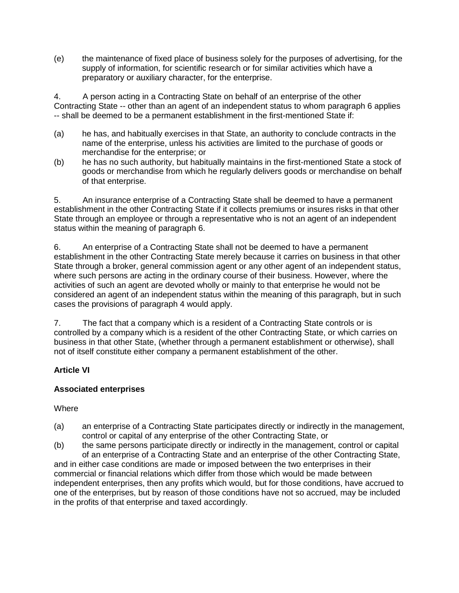(e) the maintenance of fixed place of business solely for the purposes of advertising, for the supply of information, for scientific research or for similar activities which have a preparatory or auxiliary character, for the enterprise.

4. A person acting in a Contracting State on behalf of an enterprise of the other Contracting State -- other than an agent of an independent status to whom paragraph 6 applies -- shall be deemed to be a permanent establishment in the first-mentioned State if:

- (a) he has, and habitually exercises in that State, an authority to conclude contracts in the name of the enterprise, unless his activities are limited to the purchase of goods or merchandise for the enterprise; or
- (b) he has no such authority, but habitually maintains in the first-mentioned State a stock of goods or merchandise from which he regularly delivers goods or merchandise on behalf of that enterprise.

5. An insurance enterprise of a Contracting State shall be deemed to have a permanent establishment in the other Contracting State if it collects premiums or insures risks in that other State through an employee or through a representative who is not an agent of an independent status within the meaning of paragraph 6.

6. An enterprise of a Contracting State shall not be deemed to have a permanent establishment in the other Contracting State merely because it carries on business in that other State through a broker, general commission agent or any other agent of an independent status, where such persons are acting in the ordinary course of their business. However, where the activities of such an agent are devoted wholly or mainly to that enterprise he would not be considered an agent of an independent status within the meaning of this paragraph, but in such cases the provisions of paragraph 4 would apply.

7. The fact that a company which is a resident of a Contracting State controls or is controlled by a company which is a resident of the other Contracting State, or which carries on business in that other State, (whether through a permanent establishment or otherwise), shall not of itself constitute either company a permanent establishment of the other.

### **Article VI**

### **Associated enterprises**

### Where

- (a) an enterprise of a Contracting State participates directly or indirectly in the management, control or capital of any enterprise of the other Contracting State, or
- (b) the same persons participate directly or indirectly in the management, control or capital of an enterprise of a Contracting State and an enterprise of the other Contracting State, and in either case conditions are made or imposed between the two enterprises in their commercial or financial relations which differ from those which would be made between independent enterprises, then any profits which would, but for those conditions, have accrued to

one of the enterprises, but by reason of those conditions have not so accrued, may be included in the profits of that enterprise and taxed accordingly.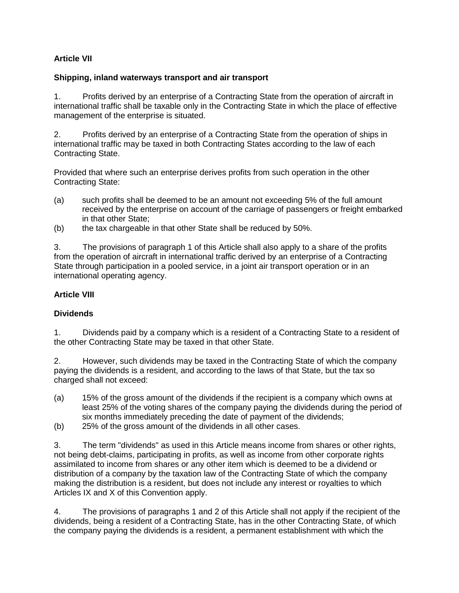## **Article VII**

#### **Shipping, inland waterways transport and air transport**

1. Profits derived by an enterprise of a Contracting State from the operation of aircraft in international traffic shall be taxable only in the Contracting State in which the place of effective management of the enterprise is situated.

2. Profits derived by an enterprise of a Contracting State from the operation of ships in international traffic may be taxed in both Contracting States according to the law of each Contracting State.

Provided that where such an enterprise derives profits from such operation in the other Contracting State:

- (a) such profits shall be deemed to be an amount not exceeding 5% of the full amount received by the enterprise on account of the carriage of passengers or freight embarked in that other State;
- (b) the tax chargeable in that other State shall be reduced by 50%.

3. The provisions of paragraph 1 of this Article shall also apply to a share of the profits from the operation of aircraft in international traffic derived by an enterprise of a Contracting State through participation in a pooled service, in a joint air transport operation or in an international operating agency.

### **Article VIII**

#### **Dividends**

1. Dividends paid by a company which is a resident of a Contracting State to a resident of the other Contracting State may be taxed in that other State.

2. However, such dividends may be taxed in the Contracting State of which the company paying the dividends is a resident, and according to the laws of that State, but the tax so charged shall not exceed:

- (a) 15% of the gross amount of the dividends if the recipient is a company which owns at least 25% of the voting shares of the company paying the dividends during the period of six months immediately preceding the date of payment of the dividends;
- (b) 25% of the gross amount of the dividends in all other cases.

3. The term "dividends" as used in this Article means income from shares or other rights, not being debt-claims, participating in profits, as well as income from other corporate rights assimilated to income from shares or any other item which is deemed to be a dividend or distribution of a company by the taxation law of the Contracting State of which the company making the distribution is a resident, but does not include any interest or royalties to which Articles IX and X of this Convention apply.

4. The provisions of paragraphs 1 and 2 of this Article shall not apply if the recipient of the dividends, being a resident of a Contracting State, has in the other Contracting State, of which the company paying the dividends is a resident, a permanent establishment with which the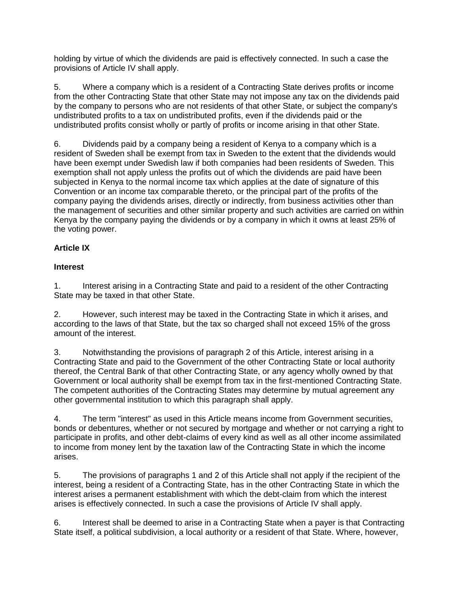holding by virtue of which the dividends are paid is effectively connected. In such a case the provisions of Article IV shall apply.

5. Where a company which is a resident of a Contracting State derives profits or income from the other Contracting State that other State may not impose any tax on the dividends paid by the company to persons who are not residents of that other State, or subject the company's undistributed profits to a tax on undistributed profits, even if the dividends paid or the undistributed profits consist wholly or partly of profits or income arising in that other State.

6. Dividends paid by a company being a resident of Kenya to a company which is a resident of Sweden shall be exempt from tax in Sweden to the extent that the dividends would have been exempt under Swedish law if both companies had been residents of Sweden. This exemption shall not apply unless the profits out of which the dividends are paid have been subjected in Kenya to the normal income tax which applies at the date of signature of this Convention or an income tax comparable thereto, or the principal part of the profits of the company paying the dividends arises, directly or indirectly, from business activities other than the management of securities and other similar property and such activities are carried on within Kenya by the company paying the dividends or by a company in which it owns at least 25% of the voting power.

## **Article IX**

## **Interest**

1. Interest arising in a Contracting State and paid to a resident of the other Contracting State may be taxed in that other State.

2. However, such interest may be taxed in the Contracting State in which it arises, and according to the laws of that State, but the tax so charged shall not exceed 15% of the gross amount of the interest.

3. Notwithstanding the provisions of paragraph 2 of this Article, interest arising in a Contracting State and paid to the Government of the other Contracting State or local authority thereof, the Central Bank of that other Contracting State, or any agency wholly owned by that Government or local authority shall be exempt from tax in the first-mentioned Contracting State. The competent authorities of the Contracting States may determine by mutual agreement any other governmental institution to which this paragraph shall apply.

4. The term "interest" as used in this Article means income from Government securities, bonds or debentures, whether or not secured by mortgage and whether or not carrying a right to participate in profits, and other debt-claims of every kind as well as all other income assimilated to income from money lent by the taxation law of the Contracting State in which the income arises.

5. The provisions of paragraphs 1 and 2 of this Article shall not apply if the recipient of the interest, being a resident of a Contracting State, has in the other Contracting State in which the interest arises a permanent establishment with which the debt-claim from which the interest arises is effectively connected. In such a case the provisions of Article IV shall apply.

6. Interest shall be deemed to arise in a Contracting State when a payer is that Contracting State itself, a political subdivision, a local authority or a resident of that State. Where, however,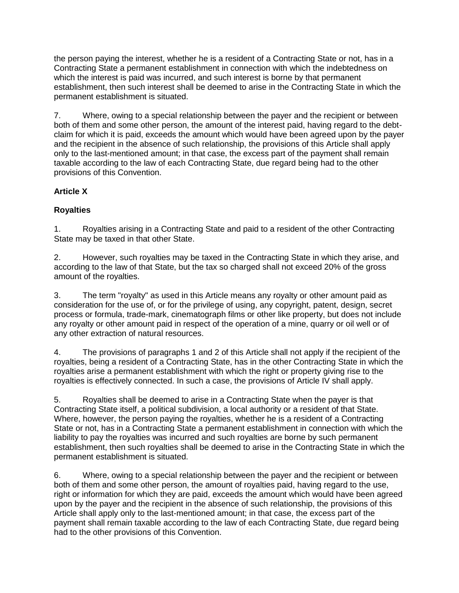the person paying the interest, whether he is a resident of a Contracting State or not, has in a Contracting State a permanent establishment in connection with which the indebtedness on which the interest is paid was incurred, and such interest is borne by that permanent establishment, then such interest shall be deemed to arise in the Contracting State in which the permanent establishment is situated.

7. Where, owing to a special relationship between the payer and the recipient or between both of them and some other person, the amount of the interest paid, having regard to the debtclaim for which it is paid, exceeds the amount which would have been agreed upon by the payer and the recipient in the absence of such relationship, the provisions of this Article shall apply only to the last-mentioned amount; in that case, the excess part of the payment shall remain taxable according to the law of each Contracting State, due regard being had to the other provisions of this Convention.

## **Article X**

## **Royalties**

1. Royalties arising in a Contracting State and paid to a resident of the other Contracting State may be taxed in that other State.

2. However, such royalties may be taxed in the Contracting State in which they arise, and according to the law of that State, but the tax so charged shall not exceed 20% of the gross amount of the royalties.

3. The term "royalty" as used in this Article means any royalty or other amount paid as consideration for the use of, or for the privilege of using, any copyright, patent, design, secret process or formula, trade-mark, cinematograph films or other like property, but does not include any royalty or other amount paid in respect of the operation of a mine, quarry or oil well or of any other extraction of natural resources.

4. The provisions of paragraphs 1 and 2 of this Article shall not apply if the recipient of the royalties, being a resident of a Contracting State, has in the other Contracting State in which the royalties arise a permanent establishment with which the right or property giving rise to the royalties is effectively connected. In such a case, the provisions of Article IV shall apply.

5. Royalties shall be deemed to arise in a Contracting State when the payer is that Contracting State itself, a political subdivision, a local authority or a resident of that State. Where, however, the person paying the royalties, whether he is a resident of a Contracting State or not, has in a Contracting State a permanent establishment in connection with which the liability to pay the royalties was incurred and such royalties are borne by such permanent establishment, then such royalties shall be deemed to arise in the Contracting State in which the permanent establishment is situated.

6. Where, owing to a special relationship between the payer and the recipient or between both of them and some other person, the amount of royalties paid, having regard to the use, right or information for which they are paid, exceeds the amount which would have been agreed upon by the payer and the recipient in the absence of such relationship, the provisions of this Article shall apply only to the last-mentioned amount; in that case, the excess part of the payment shall remain taxable according to the law of each Contracting State, due regard being had to the other provisions of this Convention.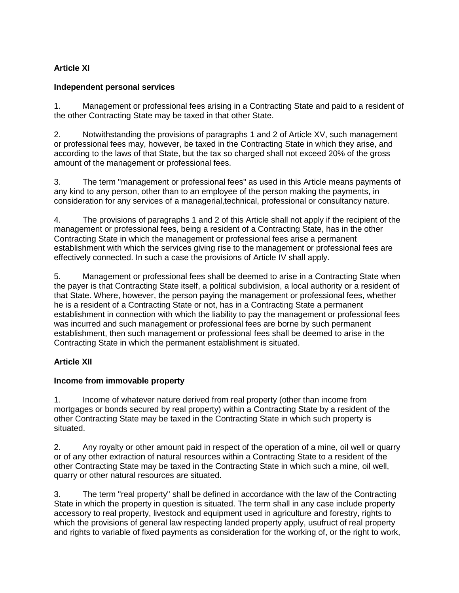## **Article XI**

### **Independent personal services**

1. Management or professional fees arising in a Contracting State and paid to a resident of the other Contracting State may be taxed in that other State.

2. Notwithstanding the provisions of paragraphs 1 and 2 of Article XV, such management or professional fees may, however, be taxed in the Contracting State in which they arise, and according to the laws of that State, but the tax so charged shall not exceed 20% of the gross amount of the management or professional fees.

3. The term "management or professional fees" as used in this Article means payments of any kind to any person, other than to an employee of the person making the payments, in consideration for any services of a managerial,technical, professional or consultancy nature.

4. The provisions of paragraphs 1 and 2 of this Article shall not apply if the recipient of the management or professional fees, being a resident of a Contracting State, has in the other Contracting State in which the management or professional fees arise a permanent establishment with which the services giving rise to the management or professional fees are effectively connected. In such a case the provisions of Article IV shall apply.

5. Management or professional fees shall be deemed to arise in a Contracting State when the payer is that Contracting State itself, a political subdivision, a local authority or a resident of that State. Where, however, the person paying the management or professional fees, whether he is a resident of a Contracting State or not, has in a Contracting State a permanent establishment in connection with which the liability to pay the management or professional fees was incurred and such management or professional fees are borne by such permanent establishment, then such management or professional fees shall be deemed to arise in the Contracting State in which the permanent establishment is situated.

### **Article XII**

### **Income from immovable property**

1. Income of whatever nature derived from real property (other than income from mortgages or bonds secured by real property) within a Contracting State by a resident of the other Contracting State may be taxed in the Contracting State in which such property is situated.

2. Any royalty or other amount paid in respect of the operation of a mine, oil well or quarry or of any other extraction of natural resources within a Contracting State to a resident of the other Contracting State may be taxed in the Contracting State in which such a mine, oil well, quarry or other natural resources are situated.

3. The term "real property" shall be defined in accordance with the law of the Contracting State in which the property in question is situated. The term shall in any case include property accessory to real property, livestock and equipment used in agriculture and forestry, rights to which the provisions of general law respecting landed property apply, usufruct of real property and rights to variable of fixed payments as consideration for the working of, or the right to work,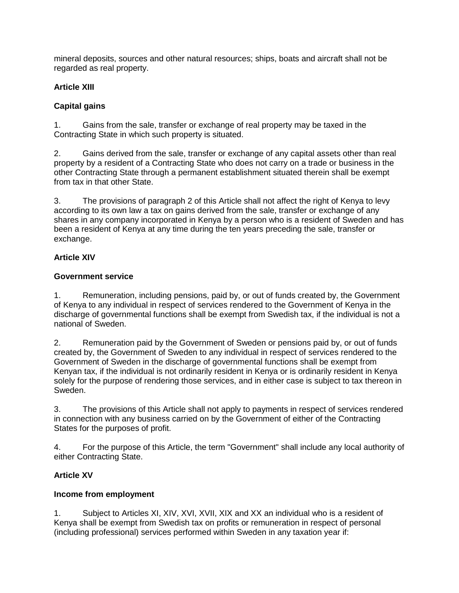mineral deposits, sources and other natural resources; ships, boats and aircraft shall not be regarded as real property.

### **Article XIII**

### **Capital gains**

1. Gains from the sale, transfer or exchange of real property may be taxed in the Contracting State in which such property is situated.

2. Gains derived from the sale, transfer or exchange of any capital assets other than real property by a resident of a Contracting State who does not carry on a trade or business in the other Contracting State through a permanent establishment situated therein shall be exempt from tax in that other State.

3. The provisions of paragraph 2 of this Article shall not affect the right of Kenya to levy according to its own law a tax on gains derived from the sale, transfer or exchange of any shares in any company incorporated in Kenya by a person who is a resident of Sweden and has been a resident of Kenya at any time during the ten years preceding the sale, transfer or exchange.

## **Article XIV**

### **Government service**

1. Remuneration, including pensions, paid by, or out of funds created by, the Government of Kenya to any individual in respect of services rendered to the Government of Kenya in the discharge of governmental functions shall be exempt from Swedish tax, if the individual is not a national of Sweden.

2. Remuneration paid by the Government of Sweden or pensions paid by, or out of funds created by, the Government of Sweden to any individual in respect of services rendered to the Government of Sweden in the discharge of governmental functions shall be exempt from Kenyan tax, if the individual is not ordinarily resident in Kenya or is ordinarily resident in Kenya solely for the purpose of rendering those services, and in either case is subject to tax thereon in Sweden.

3. The provisions of this Article shall not apply to payments in respect of services rendered in connection with any business carried on by the Government of either of the Contracting States for the purposes of profit.

4. For the purpose of this Article, the term "Government" shall include any local authority of either Contracting State.

## **Article XV**

## **Income from employment**

1. Subject to Articles XI, XIV, XVI, XVII, XIX and XX an individual who is a resident of Kenya shall be exempt from Swedish tax on profits or remuneration in respect of personal (including professional) services performed within Sweden in any taxation year if: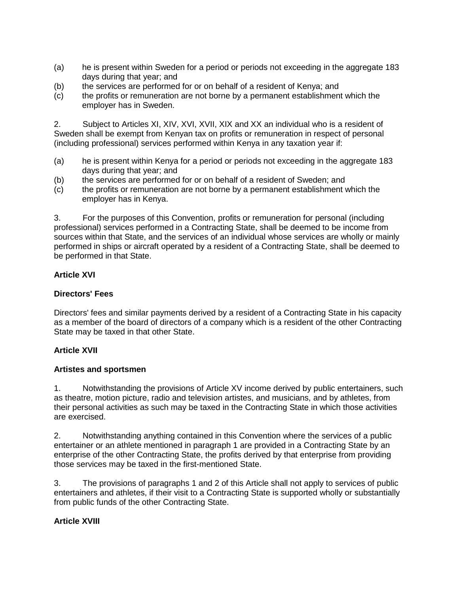- (a) he is present within Sweden for a period or periods not exceeding in the aggregate 183 days during that year; and
- (b) the services are performed for or on behalf of a resident of Kenya; and
- (c) the profits or remuneration are not borne by a permanent establishment which the employer has in Sweden.

2. Subject to Articles XI, XIV, XVI, XVII, XIX and XX an individual who is a resident of Sweden shall be exempt from Kenyan tax on profits or remuneration in respect of personal (including professional) services performed within Kenya in any taxation year if:

- (a) he is present within Kenya for a period or periods not exceeding in the aggregate 183 days during that year; and
- (b) the services are performed for or on behalf of a resident of Sweden; and
- (c) the profits or remuneration are not borne by a permanent establishment which the employer has in Kenya.

3. For the purposes of this Convention, profits or remuneration for personal (including professional) services performed in a Contracting State, shall be deemed to be income from sources within that State, and the services of an individual whose services are wholly or mainly performed in ships or aircraft operated by a resident of a Contracting State, shall be deemed to be performed in that State.

### **Article XVI**

### **Directors' Fees**

Directors' fees and similar payments derived by a resident of a Contracting State in his capacity as a member of the board of directors of a company which is a resident of the other Contracting State may be taxed in that other State.

#### **Article XVII**

#### **Artistes and sportsmen**

1. Notwithstanding the provisions of Article XV income derived by public entertainers, such as theatre, motion picture, radio and television artistes, and musicians, and by athletes, from their personal activities as such may be taxed in the Contracting State in which those activities are exercised.

2. Notwithstanding anything contained in this Convention where the services of a public entertainer or an athlete mentioned in paragraph 1 are provided in a Contracting State by an enterprise of the other Contracting State, the profits derived by that enterprise from providing those services may be taxed in the first-mentioned State.

3. The provisions of paragraphs 1 and 2 of this Article shall not apply to services of public entertainers and athletes, if their visit to a Contracting State is supported wholly or substantially from public funds of the other Contracting State.

### **Article XVIII**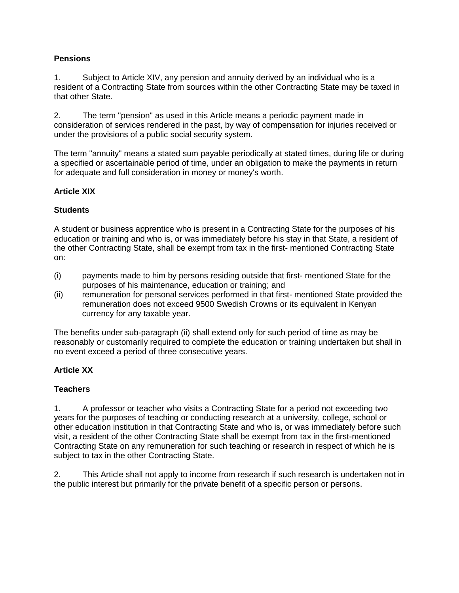### **Pensions**

1. Subject to Article XIV, any pension and annuity derived by an individual who is a resident of a Contracting State from sources within the other Contracting State may be taxed in that other State.

2. The term "pension" as used in this Article means a periodic payment made in consideration of services rendered in the past, by way of compensation for injuries received or under the provisions of a public social security system.

The term "annuity" means a stated sum payable periodically at stated times, during life or during a specified or ascertainable period of time, under an obligation to make the payments in return for adequate and full consideration in money or money's worth.

### **Article XIX**

### **Students**

A student or business apprentice who is present in a Contracting State for the purposes of his education or training and who is, or was immediately before his stay in that State, a resident of the other Contracting State, shall be exempt from tax in the first- mentioned Contracting State on:

- (i) payments made to him by persons residing outside that first- mentioned State for the purposes of his maintenance, education or training; and
- (ii) remuneration for personal services performed in that first- mentioned State provided the remuneration does not exceed 9500 Swedish Crowns or its equivalent in Kenyan currency for any taxable year.

The benefits under sub-paragraph (ii) shall extend only for such period of time as may be reasonably or customarily required to complete the education or training undertaken but shall in no event exceed a period of three consecutive years.

### **Article XX**

### **Teachers**

1. A professor or teacher who visits a Contracting State for a period not exceeding two years for the purposes of teaching or conducting research at a university, college, school or other education institution in that Contracting State and who is, or was immediately before such visit, a resident of the other Contracting State shall be exempt from tax in the first-mentioned Contracting State on any remuneration for such teaching or research in respect of which he is subject to tax in the other Contracting State.

2. This Article shall not apply to income from research if such research is undertaken not in the public interest but primarily for the private benefit of a specific person or persons.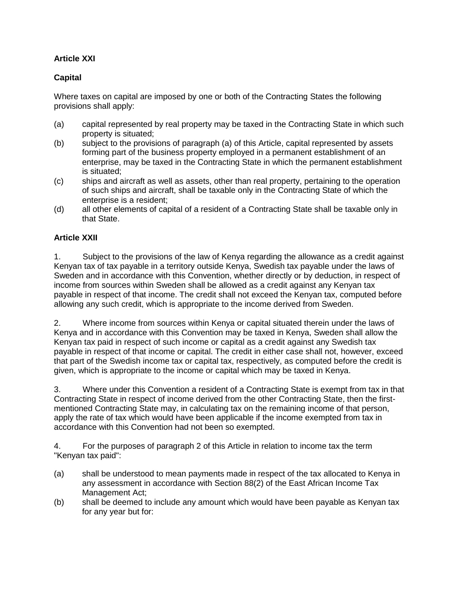## **Article XXI**

### **Capital**

Where taxes on capital are imposed by one or both of the Contracting States the following provisions shall apply:

- (a) capital represented by real property may be taxed in the Contracting State in which such property is situated;
- (b) subject to the provisions of paragraph (a) of this Article, capital represented by assets forming part of the business property employed in a permanent establishment of an enterprise, may be taxed in the Contracting State in which the permanent establishment is situated;
- (c) ships and aircraft as well as assets, other than real property, pertaining to the operation of such ships and aircraft, shall be taxable only in the Contracting State of which the enterprise is a resident;
- (d) all other elements of capital of a resident of a Contracting State shall be taxable only in that State.

### **Article XXII**

1. Subject to the provisions of the law of Kenya regarding the allowance as a credit against Kenyan tax of tax payable in a territory outside Kenya, Swedish tax payable under the laws of Sweden and in accordance with this Convention, whether directly or by deduction, in respect of income from sources within Sweden shall be allowed as a credit against any Kenyan tax payable in respect of that income. The credit shall not exceed the Kenyan tax, computed before allowing any such credit, which is appropriate to the income derived from Sweden.

2. Where income from sources within Kenya or capital situated therein under the laws of Kenya and in accordance with this Convention may be taxed in Kenya, Sweden shall allow the Kenyan tax paid in respect of such income or capital as a credit against any Swedish tax payable in respect of that income or capital. The credit in either case shall not, however, exceed that part of the Swedish income tax or capital tax, respectively, as computed before the credit is given, which is appropriate to the income or capital which may be taxed in Kenya.

3. Where under this Convention a resident of a Contracting State is exempt from tax in that Contracting State in respect of income derived from the other Contracting State, then the firstmentioned Contracting State may, in calculating tax on the remaining income of that person, apply the rate of tax which would have been applicable if the income exempted from tax in accordance with this Convention had not been so exempted.

4. For the purposes of paragraph 2 of this Article in relation to income tax the term "Kenyan tax paid":

- (a) shall be understood to mean payments made in respect of the tax allocated to Kenya in any assessment in accordance with Section 88(2) of the East African Income Tax Management Act;
- (b) shall be deemed to include any amount which would have been payable as Kenyan tax for any year but for: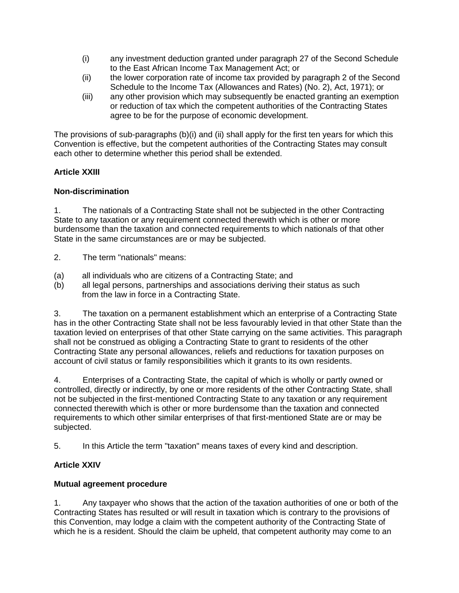- (i) any investment deduction granted under paragraph 27 of the Second Schedule to the East African Income Tax Management Act; or
- (ii) the lower corporation rate of income tax provided by paragraph 2 of the Second Schedule to the Income Tax (Allowances and Rates) (No. 2), Act, 1971); or
- (iii) any other provision which may subsequently be enacted granting an exemption or reduction of tax which the competent authorities of the Contracting States agree to be for the purpose of economic development.

The provisions of sub-paragraphs (b)(i) and (ii) shall apply for the first ten years for which this Convention is effective, but the competent authorities of the Contracting States may consult each other to determine whether this period shall be extended.

## **Article XXIII**

## **Non-discrimination**

1. The nationals of a Contracting State shall not be subjected in the other Contracting State to any taxation or any requirement connected therewith which is other or more burdensome than the taxation and connected requirements to which nationals of that other State in the same circumstances are or may be subjected.

- 2. The term "nationals" means:
- (a) all individuals who are citizens of a Contracting State; and
- (b) all legal persons, partnerships and associations deriving their status as such from the law in force in a Contracting State.

3. The taxation on a permanent establishment which an enterprise of a Contracting State has in the other Contracting State shall not be less favourably levied in that other State than the taxation levied on enterprises of that other State carrying on the same activities. This paragraph shall not be construed as obliging a Contracting State to grant to residents of the other Contracting State any personal allowances, reliefs and reductions for taxation purposes on account of civil status or family responsibilities which it grants to its own residents.

4. Enterprises of a Contracting State, the capital of which is wholly or partly owned or controlled, directly or indirectly, by one or more residents of the other Contracting State, shall not be subjected in the first-mentioned Contracting State to any taxation or any requirement connected therewith which is other or more burdensome than the taxation and connected requirements to which other similar enterprises of that first-mentioned State are or may be subjected.

5. In this Article the term "taxation" means taxes of every kind and description.

## **Article XXIV**

### **Mutual agreement procedure**

1. Any taxpayer who shows that the action of the taxation authorities of one or both of the Contracting States has resulted or will result in taxation which is contrary to the provisions of this Convention, may lodge a claim with the competent authority of the Contracting State of which he is a resident. Should the claim be upheld, that competent authority may come to an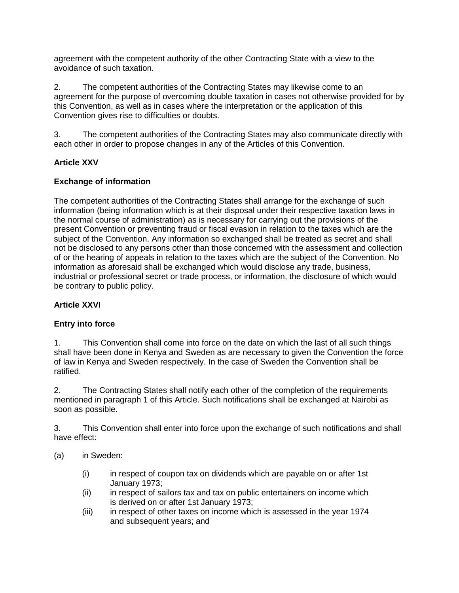agreement with the competent authority of the other Contracting State with a view to the avoidance of such taxation.

2. The competent authorities of the Contracting States may likewise come to an agreement for the purpose of overcoming double taxation in cases not otherwise provided for by this Convention, as well as in cases where the interpretation or the application of this Convention gives rise to difficulties or doubts.

3. The competent authorities of the Contracting States may also communicate directly with each other in order to propose changes in any of the Articles of this Convention.

### **Article XXV**

### **Exchange of information**

The competent authorities of the Contracting States shall arrange for the exchange of such information (being information which is at their disposal under their respective taxation laws in the normal course of administration) as is necessary for carrying out the provisions of the present Convention or preventing fraud or fiscal evasion in relation to the taxes which are the subject of the Convention. Any information so exchanged shall be treated as secret and shall not be disclosed to any persons other than those concerned with the assessment and collection of or the hearing of appeals in relation to the taxes which are the subject of the Convention. No information as aforesaid shall be exchanged which would disclose any trade, business, industrial or professional secret or trade process, or information, the disclosure of which would be contrary to public policy.

### **Article XXVI**

### **Entry into force**

1. This Convention shall come into force on the date on which the last of all such things shall have been done in Kenya and Sweden as are necessary to given the Convention the force of law in Kenya and Sweden respectively. In the case of Sweden the Convention shall be ratified.

2. The Contracting States shall notify each other of the completion of the requirements mentioned in paragraph 1 of this Article. Such notifications shall be exchanged at Nairobi as soon as possible.

3. This Convention shall enter into force upon the exchange of such notifications and shall have effect:

- (a) in Sweden:
	- (i) in respect of coupon tax on dividends which are payable on or after 1st January 1973;
	- (ii) in respect of sailors tax and tax on public entertainers on income which is derived on or after 1st January 1973;
	- (iii) in respect of other taxes on income which is assessed in the year 1974 and subsequent years; and